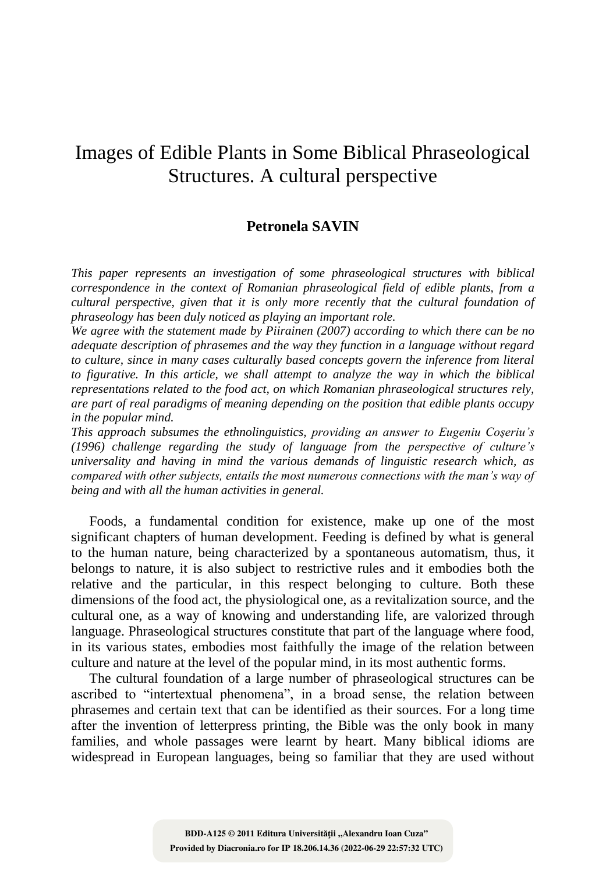# Images of Edible Plants in Some Biblical Phraseological Structures. A cultural perspective

## **Petronela SAVIN**

*This paper represents an investigation of some phraseological structures with biblical correspondence in the context of Romanian phraseological field of edible plants, from a cultural perspective, given that it is only more recently that the cultural foundation of phraseology has been duly noticed as playing an important role.* 

*We agree with the statement made by Piirainen (2007) according to which there can be no adequate description of phrasemes and the way they function in a language without regard to culture, since in many cases culturally based concepts govern the inference from literal*  to figurative. In this article, we shall attempt to analyze the way in which the biblical *representations related to the food act, on which Romanian phraseological structures rely, are part of real paradigms of meaning depending on the position that edible plants occupy in the popular mind.* 

*This approach subsumes the ethnolinguistics, providing an answer to Eugeniu Coşeriu"s (1996) challenge regarding the study of language from the perspective of culture"s universality and having in mind the various demands of linguistic research which, as compared with other subjects, entails the most numerous connections with the man"s way of being and with all the human activities in general.*

Foods, a fundamental condition for existence, make up one of the most significant chapters of human development. Feeding is defined by what is general to the human nature, being characterized by a spontaneous automatism, thus, it belongs to nature, it is also subject to restrictive rules and it embodies both the relative and the particular, in this respect belonging to culture. Both these dimensions of the food act, the physiological one, as a revitalization source, and the cultural one, as a way of knowing and understanding life, are valorized through language. Phraseological structures constitute that part of the language where food, in its various states, embodies most faithfully the image of the relation between culture and nature at the level of the popular mind, in its most authentic forms.

The cultural foundation of a large number of phraseological structures can be ascribed to "intertextual phenomena", in a broad sense, the relation between phrasemes and certain text that can be identified as their sources. For a long time after the invention of letterpress printing, the Bible was the only book in many families, and whole passages were learnt by heart. Many biblical idioms are widespread in European languages, being so familiar that they are used without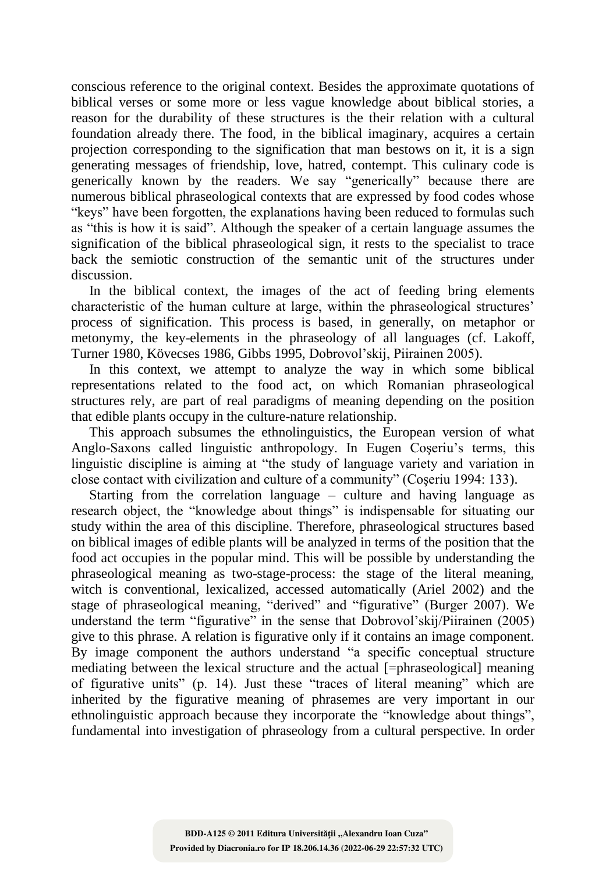conscious reference to the original context. Besides the approximate quotations of biblical verses or some more or less vague knowledge about biblical stories, a reason for the durability of these structures is the their relation with a cultural foundation already there. The food, in the biblical imaginary, acquires a certain projection corresponding to the signification that man bestows on it, it is a sign generating messages of friendship, love, hatred, contempt. This culinary code is generically known by the readers. We say "generically" because there are numerous biblical phraseological contexts that are expressed by food codes whose "keys" have been forgotten, the explanations having been reduced to formulas such as "this is how it is said". Although the speaker of a certain language assumes the signification of the biblical phraseological sign, it rests to the specialist to trace back the semiotic construction of the semantic unit of the structures under discussion.

In the biblical context, the images of the act of feeding bring elements characteristic of the human culture at large, within the phraseological structures" process of signification. This process is based, in generally, on metaphor or metonymy, the key-elements in the phraseology of all languages (cf. Lakoff, Turner 1980, Kövecses 1986, Gibbs 1995, Dobrovol"skij, Piirainen 2005).

In this context, we attempt to analyze the way in which some biblical representations related to the food act, on which Romanian phraseological structures rely, are part of real paradigms of meaning depending on the position that edible plants occupy in the culture-nature relationship.

This approach subsumes the ethnolinguistics, the European version of what Anglo-Saxons called linguistic anthropology. In Eugen Coseriu's terms, this linguistic discipline is aiming at "the study of language variety and variation in close contact with civilization and culture of a community" (Coşeriu 1994: 133).

Starting from the correlation language  $-$  culture and having language as research object, the "knowledge about things" is indispensable for situating our study within the area of this discipline. Therefore, phraseological structures based on biblical images of edible plants will be analyzed in terms of the position that the food act occupies in the popular mind. This will be possible by understanding the phraseological meaning as two-stage-process: the stage of the literal meaning, witch is conventional, lexicalized, accessed automatically (Ariel 2002) and the stage of phraseological meaning, "derived" and "figurative" (Burger 2007). We understand the term "figurative" in the sense that Dobrovol"skij/Piirainen (2005) give to this phrase. A relation is figurative only if it contains an image component. By image component the authors understand "a specific conceptual structure mediating between the lexical structure and the actual [=phraseological] meaning of figurative units" (p. 14). Just these "traces of literal meaning" which are inherited by the figurative meaning of phrasemes are very important in our ethnolinguistic approach because they incorporate the "knowledge about things", fundamental into investigation of phraseology from a cultural perspective. In order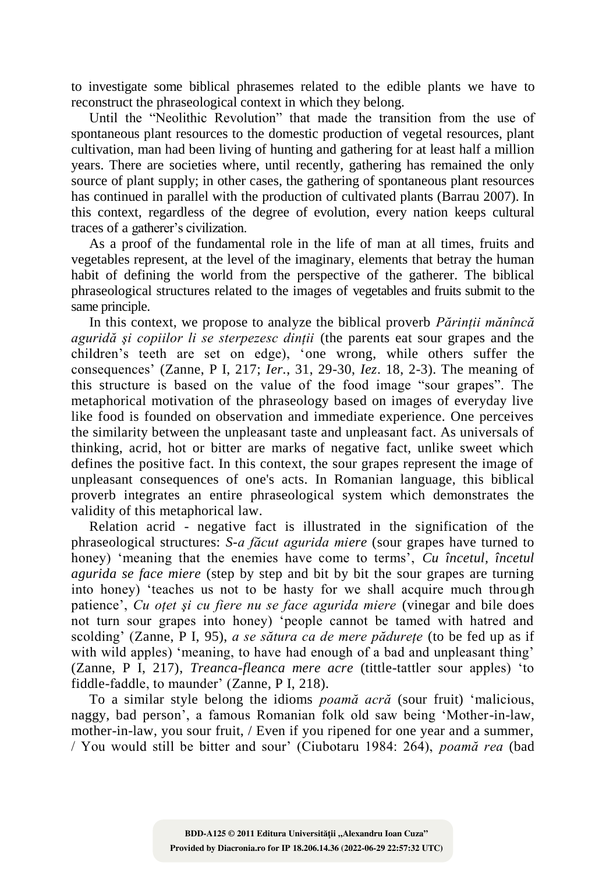to investigate some biblical phrasemes related to the edible plants we have to reconstruct the phraseological context in which they belong.

Until the "Neolithic Revolution" that made the transition from the use of spontaneous plant resources to the domestic production of vegetal resources, plant cultivation, man had been living of hunting and gathering for at least half a million years. There are societies where, until recently, gathering has remained the only source of plant supply; in other cases, the gathering of spontaneous plant resources has continued in parallel with the production of cultivated plants (Barrau 2007). In this context, regardless of the degree of evolution, every nation keeps cultural traces of a gatherer"s civilization.

As a proof of the fundamental role in the life of man at all times, fruits and vegetables represent, at the level of the imaginary, elements that betray the human habit of defining the world from the perspective of the gatherer. The biblical phraseological structures related to the images of vegetables and fruits submit to the same principle.

In this context, we propose to analyze the biblical proverb *Părinţii mănîncă aguridă şi copiilor li se sterpezesc dinţii* (the parents eat sour grapes and the children"s teeth are set on edge), "one wrong, while others suffer the consequences" (Zanne, P I, 217; *Ier.*, 31, 29-30, *Iez*. 18, 2-3). The meaning of this structure is based on the value of the food image "sour grapes". The metaphorical motivation of the phraseology based on images of everyday live like food is founded on observation and immediate experience. One perceives the similarity between the unpleasant taste and unpleasant fact. As universals of thinking, acrid, hot or bitter are marks of negative fact, unlike sweet which defines the positive fact. In this context, the sour grapes represent the image of unpleasant consequences of one's acts. In Romanian language, this biblical proverb integrates an entire phraseological system which demonstrates the validity of this metaphorical law.

Relation acrid - negative fact is illustrated in the signification of the phraseological structures: *S-a făcut agurida miere* (sour grapes have turned to honey) 'meaning that the enemies have come to terms', *Cu încetul*, *încetul agurida se face miere* (step by step and bit by bit the sour grapes are turning into honey) "teaches us not to be hasty for we shall acquire much through patience', *Cu otet si cu fiere nu se face agurida miere* (vinegar and bile does not turn sour grapes into honey) "people cannot be tamed with hatred and scolding" (Zanne, P I, 95), *a se sătura ca de mere pădureţe* (to be fed up as if with wild apples) 'meaning, to have had enough of a bad and unpleasant thing' (Zanne, P I, 217), *Treanca-fleanca mere acre* (tittle-tattler sour apples) "to fiddle-faddle, to maunder' (Zanne, P I, 218).

To a similar style belong the idioms *poamă acră* (sour fruit) "malicious, naggy, bad person", a famous Romanian folk old saw being "Mother-in-law, mother-in-law, you sour fruit, / Even if you ripened for one year and a summer, / You would still be bitter and sour" (Ciubotaru 1984: 264), *poamă rea* (bad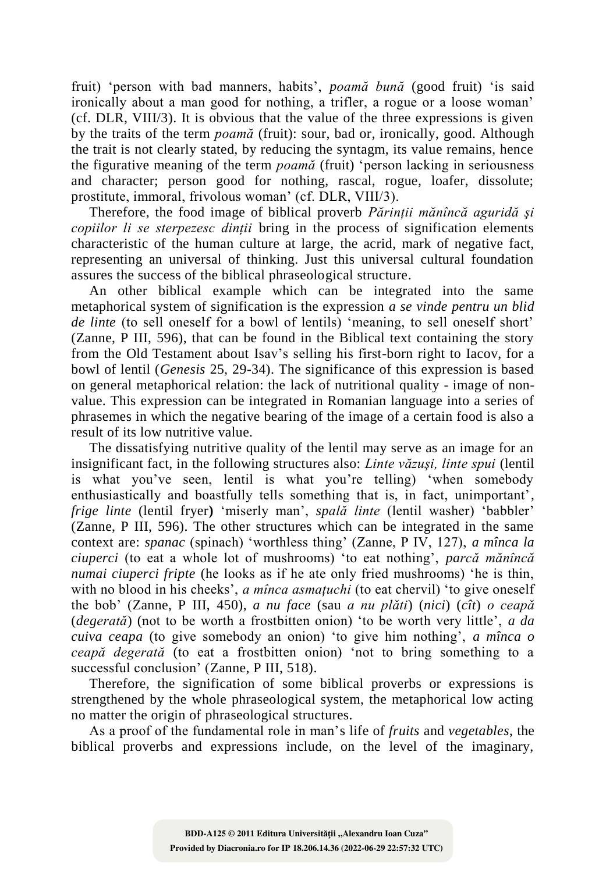fruit) 'person with bad manners, habits', poamă bună (good fruit) 'is said ironically about a man good for nothing, a trifler, a rogue or a loose woman" (cf. DLR, VIII/3). It is obvious that the value of the three expressions is given by the traits of the term *poamă* (fruit): sour, bad or*,* ironically, good. Although the trait is not clearly stated, by reducing the syntagm, its value remains, hence the figurative meaning of the term *poamă* (fruit) "person lacking in seriousness and character; person good for nothing, rascal, rogue, loafer, dissolute; prostitute, immoral, frivolous woman" (cf. DLR, VIII/3).

Therefore, the food image of biblical proverb *Părinţii mănîncă aguridă şi copiilor li se sterpezesc dinții* bring in the process of signification elements characteristic of the human culture at large, the acrid, mark of negative fact, representing an universal of thinking. Just this universal cultural foundation assures the success of the biblical phraseological structure.

An other biblical example which can be integrated into the same metaphorical system of signification is the expression *a se vinde pentru un blid de linte* (to sell oneself for a bowl of lentils) 'meaning, to sell oneself short' (Zanne, P III, 596), that can be found in the Biblical text containing the story from the Old Testament about Isav"s selling his first-born right to Iacov, for a bowl of lentil (*Genesis* 25, 29-34). The significance of this expression is based on general metaphorical relation: the lack of nutritional quality - image of nonvalue. This expression can be integrated in Romanian language into a series of phrasemes in which the negative bearing of the image of a certain food is also a result of its low nutritive value.

The dissatisfying nutritive quality of the lentil may serve as an image for an insignificant fact, in the following structures also: *Linte văzuşi, linte spui* (lentil is what you"ve seen, lentil is what you"re telling) "when somebody enthusiastically and boastfully tells something that is, in fact, unimportant', *frige linte* (lentil fryer**)** "miserly man", *spală linte* (lentil washer) "babbler" (Zanne, P III, 596). The other structures which can be integrated in the same context are: *spanac* (spinach) "worthless thing" (Zanne, P IV, 127), *a mînca la ciuperci* (to eat a whole lot of mushrooms) "to eat nothing", *parcă mănîncă numai ciuperci fripte* (he looks as if he ate only fried mushrooms) "he is thin, with no blood in his cheeks', *a mînca asmatuchi* (to eat chervil) 'to give oneself the bob" (Zanne, P III, 450), *a nu face* (sau *a nu plăti*) (*nici*) (*cît*) *o ceapă* (*degerată*) (not to be worth a frostbitten onion) "to be worth very little", *a da cuiva ceapa* (to give somebody an onion) "to give him nothing", *a mînca o ceapă degerată* (to eat a frostbitten onion) "not to bring something to a successful conclusion' (Zanne, P III, 518).

Therefore, the signification of some biblical proverbs or expressions is strengthened by the whole phraseological system, the metaphorical low acting no matter the origin of phraseological structures.

As a proof of the fundamental role in man"s life of *fruits* and *vegetables*, the biblical proverbs and expressions include, on the level of the imaginary,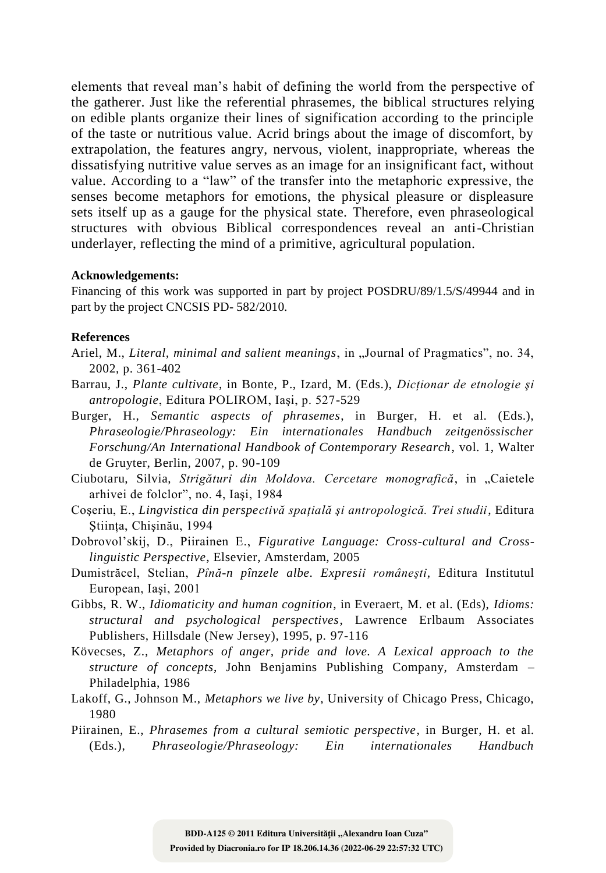elements that reveal man"s habit of defining the world from the perspective of the gatherer. Just like the referential phrasemes, the biblical structures relying on edible plants organize their lines of signification according to the principle of the taste or nutritious value. Acrid brings about the image of discomfort, by extrapolation, the features angry, nervous, violent, inappropriate, whereas the dissatisfying nutritive value serves as an image for an insignificant fact, without value. According to a "law" of the transfer into the metaphoric expressive, the senses become metaphors for emotions, the physical pleasure or displeasure sets itself up as a gauge for the physical state. Therefore, even phraseological structures with obvious Biblical correspondences reveal an anti-Christian underlayer, reflecting the mind of a primitive, agricultural population.

#### **Acknowledgements:**

Financing of this work was supported in part by project POSDRU/89/1.5/S/49944 and in part by the project CNCSIS PD- 582/2010.

### **References**

- Ariel, M., *Literal, minimal and salient meanings*, in "Journal of Pragmatics", no. 34, 2002, p. 361-402
- Barrau, J., *Plante cultivate*, in Bonte, P., Izard, M. (Eds.), *Dicţionar de etnologie şi antropologie*, Editura POLIROM, Iaşi, p. 527-529

Burger, H., *Semantic aspects of phrasemes*, in Burger, H. et al. (Eds.), *Phraseologie/Phraseology: Ein internationales Handbuch zeitgenössischer Forschung/An International Handbook of Contemporary Research*, vol. 1, Walter de Gruyter, Berlin, 2007, p. 90-109

- Ciubotaru, Silvia, *Strigături din Moldova. Cercetare monografică*, in "Caietele arhivei de folclor", no. 4, Iaşi, 1984
- Coşeriu, E., *Lingvistica din perspectivă spaţială şi antropologică. Trei studii*, Editura Stiinta, Chisinău, 1994
- Dobrovol"skij, D., Piirainen E., *Figurative Language: Cross-cultural and Crosslinguistic Perspective*, Elsevier, Amsterdam, 2005
- Dumistrăcel, Stelian, *Pînă-n pînzele albe. Expresii româneşti*, Editura Institutul European, Iaşi, 2001
- Gibbs, R. W., *Idiomaticity and human cognition*, in Everaert, M. et al. (Eds), *Idioms: structural and psychological perspectives*, Lawrence Erlbaum Associates Publishers, Hillsdale (New Jersey), 1995, p. 97-116
- Kövecses, Z., *Metaphors of anger, pride and love. A Lexical approach to the structure of concepts*, John Benjamins Publishing Company, Amsterdam – Philadelphia, 1986
- Lakoff, G., Johnson M., *Metaphors we live by*, University of Chicago Press, Chicago, 1980
- Piirainen, E., *Phrasemes from a cultural semiotic perspective*, in Burger, H. et al. (Eds.), *Phraseologie/Phraseology: Ein internationales Handbuch*